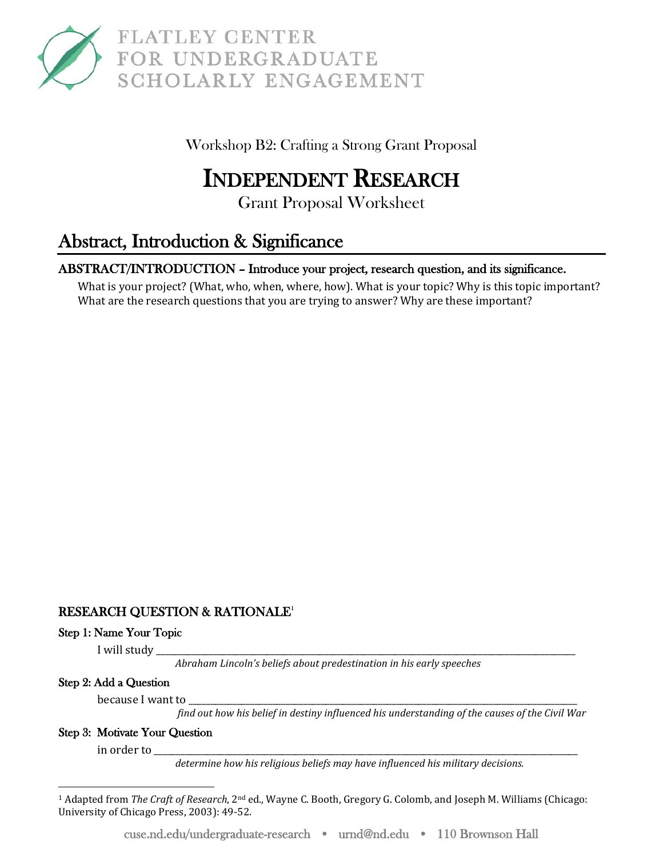

FLATLEY CENTER FOR UNDERGRADUATE **SCHOLARLY ENGAGEMENT** 

Workshop B2: Crafting a Strong Grant Proposal

# INDEPENDENT RESEARCH

Grant Proposal Worksheet

## Abstract, Introduction & Significance

### ABSTRACT/INTRODUCTION – Introduce your project, research question, and its significance.

What is your project? (What, who, when, where, how). What is your topic? Why is this topic important? What are the research questions that you are trying to answer? Why are these important?

### RESEARCH QUESTION & RATIONALE[1](#page-0-0)

#### Step 1: Name Your Topic

I will study \_\_\_\_\_\_\_\_\_\_\_\_\_\_\_\_\_\_\_\_\_\_\_\_\_\_\_\_\_\_\_\_\_\_\_\_\_\_\_\_\_\_\_\_\_\_\_\_\_\_\_\_\_\_\_\_\_\_\_\_\_\_\_\_\_\_\_\_\_\_\_\_\_\_\_\_\_\_\_\_\_\_\_\_\_\_\_\_\_\_\_\_\_\_\_ *Abraham Lincoln's beliefs about predestination in his early speeches*

#### Step 2: Add a Question

because I want to \_\_\_\_\_\_\_\_\_\_\_\_\_\_\_\_\_\_\_\_\_\_\_\_\_\_\_\_\_\_\_\_\_\_\_\_\_\_\_\_\_\_\_\_\_\_\_\_\_\_\_\_\_\_\_\_\_\_\_\_\_\_\_\_\_\_\_\_\_\_\_\_\_\_\_\_\_\_\_\_\_\_\_\_\_\_\_\_ *find out how his belief in destiny influenced his understanding of the causes of the Civil War*

#### Step 3: Motivate Your Question

in order to \_\_\_\_\_\_\_\_\_\_\_\_\_\_\_\_\_\_\_\_\_\_\_\_\_\_\_\_\_\_\_\_\_\_\_\_\_\_\_\_\_\_\_\_\_\_\_\_\_\_\_\_\_\_\_\_\_\_\_\_\_\_\_\_\_\_\_\_\_\_\_\_\_\_\_\_\_\_\_\_\_\_\_\_\_\_\_\_\_\_\_\_\_\_\_\_ *determine how his religious beliefs may have influenced his military decisions.*

<span id="page-0-0"></span> $\overline{\phantom{a}}$ <sup>1</sup> Adapted from *The Craft of Research*, 2nd ed., Wayne C. Booth, Gregory G. Colomb, and Joseph M. Williams (Chicago: University of Chicago Press, 2003): 49-52.

cuse.nd.edu/undergraduate-research • urnd@nd.edu • 110 Brownson Hall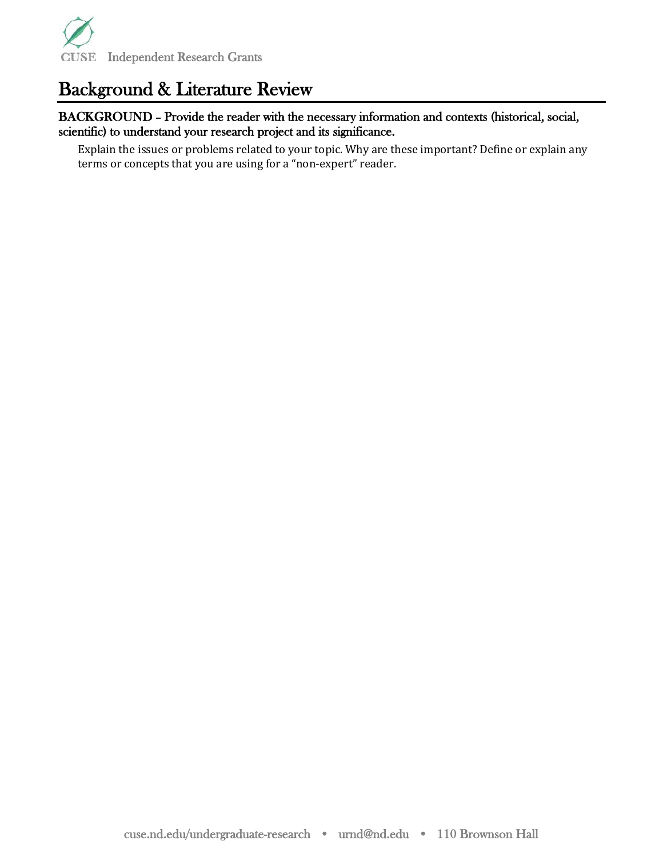

## Background & Literature Review

#### BACKGROUND – Provide the reader with the necessary information and contexts (historical, social, scientific) to understand your research project and its significance.

Explain the issues or problems related to your topic. Why are these important? Define or explain any terms or concepts that you are using for a "non-expert" reader.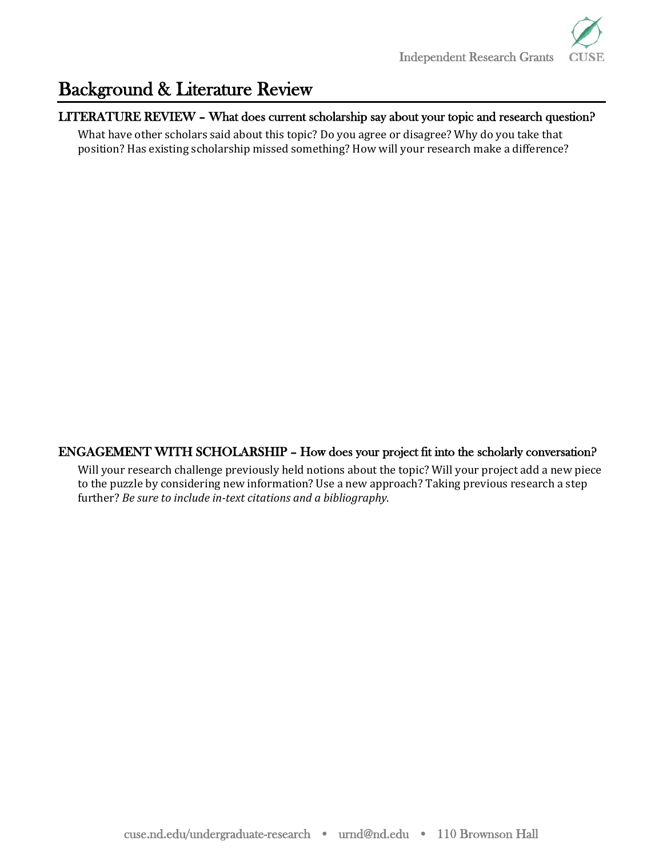## Background & Literature Review

### LITERATURE REVIEW – What does current scholarship say about your topic and research question?

What have other scholars said about this topic? Do you agree or disagree? Why do you take that position? Has existing scholarship missed something? How will your research make a difference?

### ENGAGEMENT WITH SCHOLARSHIP – How does your project fit into the scholarly conversation?

Will your research challenge previously held notions about the topic? Will your project add a new piece to the puzzle by considering new information? Use a new approach? Taking previous research a step further? *Be sure to include in-text citations and a bibliography*.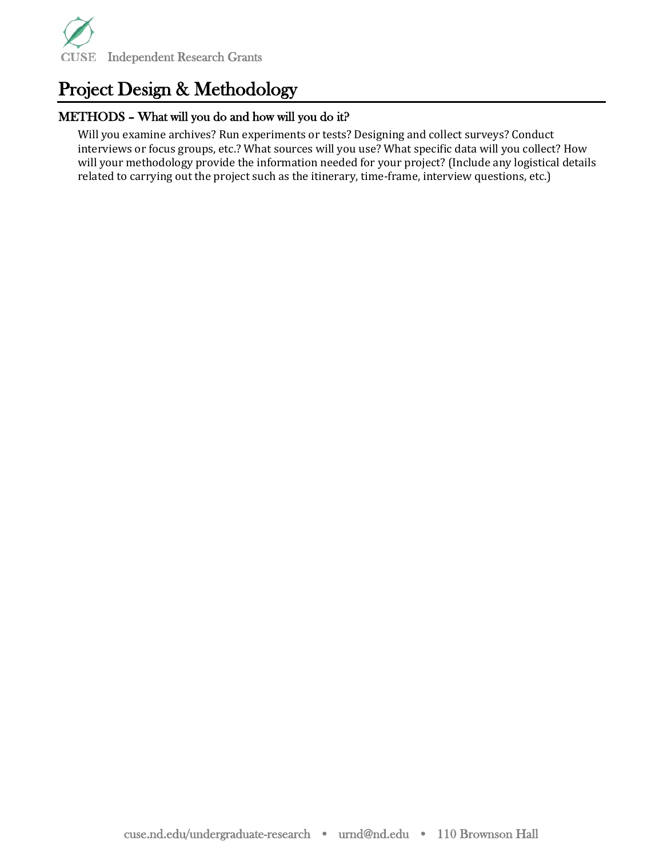

## Project Design & Methodology

### METHODS – What will you do and how will you do it?

Will you examine archives? Run experiments or tests? Designing and collect surveys? Conduct interviews or focus groups, etc.? What sources will you use? What specific data will you collect? How will your methodology provide the information needed for your project? (Include any logistical details related to carrying out the project such as the itinerary, time-frame, interview questions, etc.)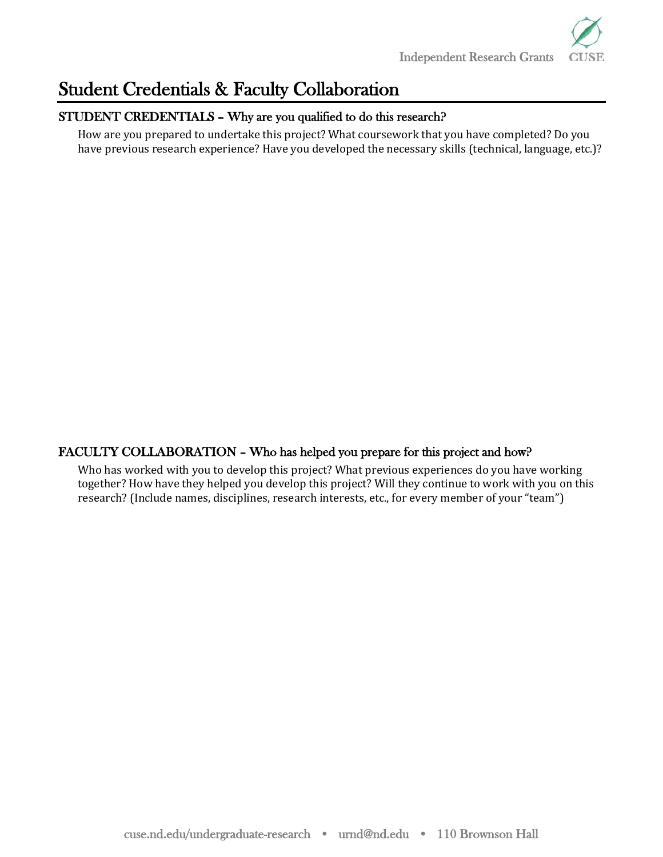

## Student Credentials & Faculty Collaboration

### STUDENT CREDENTIALS – Why are you qualified to do this research?

How are you prepared to undertake this project? What coursework that you have completed? Do you have previous research experience? Have you developed the necessary skills (technical, language, etc.)?

#### FACULTY COLLABORATION – Who has helped you prepare for this project and how?

Who has worked with you to develop this project? What previous experiences do you have working together? How have they helped you develop this project? Will they continue to work with you on this research? (Include names, disciplines, research interests, etc., for every member of your "team")